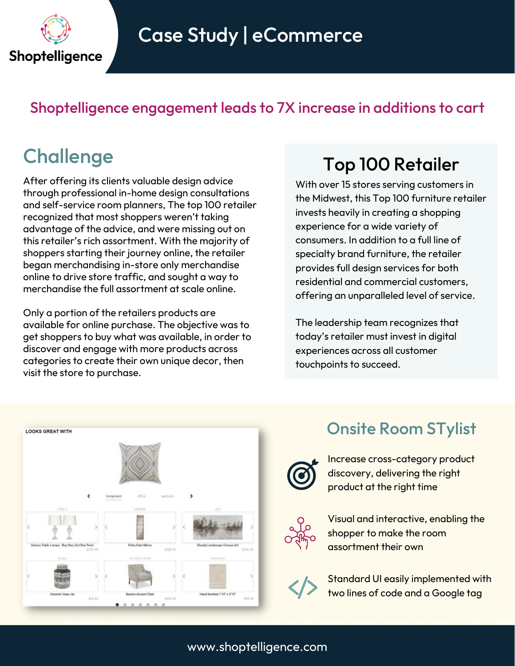

#### Shoptelligence engagement leads to 7X increase in additions to cart

After offering its clients valuable design advice through professional in-home design consultations and self-service room planners, The top 100 retailer recognized that most shoppers weren't taking advantage of the advice, and were missing out on this retailer's rich assortment. With the majority of shoppers starting their journey online, the retailer began merchandising in-store only merchandise online to drive store traffic, and sought a way to merchandise the full assortment at scale online.

Only a portion of the retailers products are available for online purchase. The objective was to get shoppers to buy what was available, in order to discover and engage with more products across categories to create their own unique decor, then visit the store to purchase.

# Challenge Top <sup>100</sup> Retailer

With over 15 stores serving customers in the Midwest, this Top 100 furniture retailer invests heavily in creating a shopping experience for a wide variety of consumers. In addition to a full line of specialty brand furniture, the retailer provides full design services for both residential and commercial customers, offering an unparalleled level of service.

The leadership team recognizes that today's retailer must invest in digital experiences across all customer touchpoints to succeed.



### Onsite Room STylist

Increase cross-category product discovery, delivering the right product at the right time



Visual and interactive, enabling the shopper to make the room assortment their own



For qFuoer sqtuioenssti onr sto o sr ctoh esdcuhled au ldee am doe, mcoon, tcaocnt tuasc ta ut s2 1a2t .231228..312484.

Standard UI easily implemented with two lines of code and a Google tag